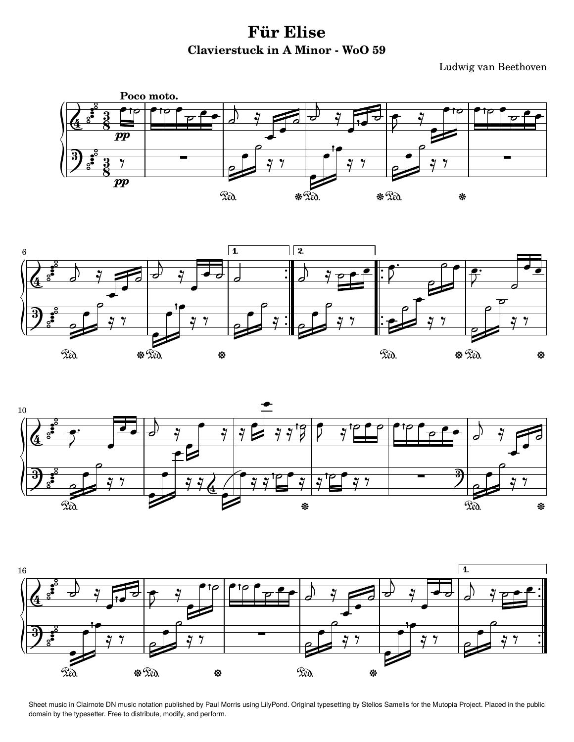**Für Elise Clavierstuck in A Minor - WoO 59**

Ludwig van Beethoven









Sheet music in [Clairnote DN music notation](http://clairnote.org/dn/) published by Paul Morris using [LilyPond.](http://www.lilypond.org) Original typesetting by Stelios Samelis for the [Mutopia Project.](http://www.mutopiaproject.org) Placed in the [public](http://creativecommons.org/publicdomain/zero/1.0/) [domain](http://creativecommons.org/publicdomain/zero/1.0/) by the typesetter. Free to distribute, modify, and perform.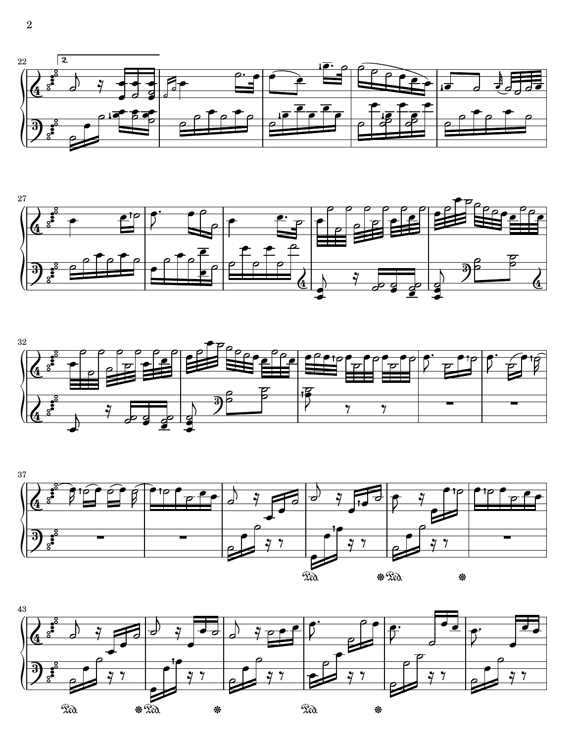







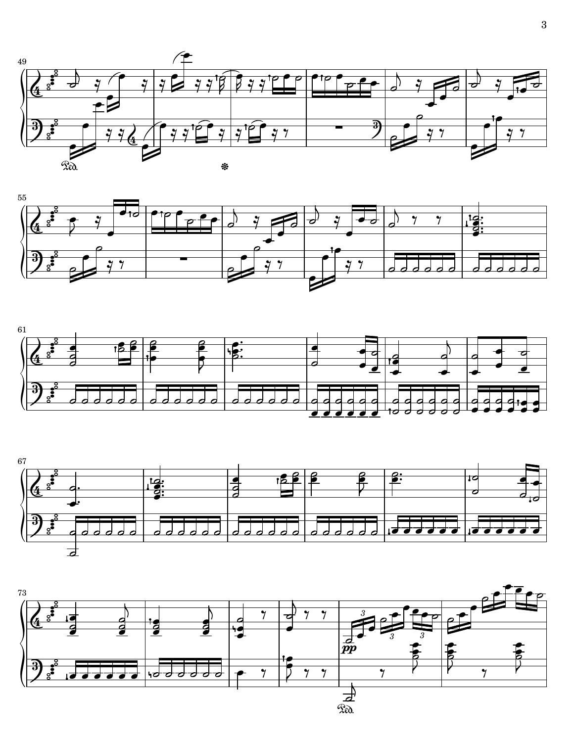